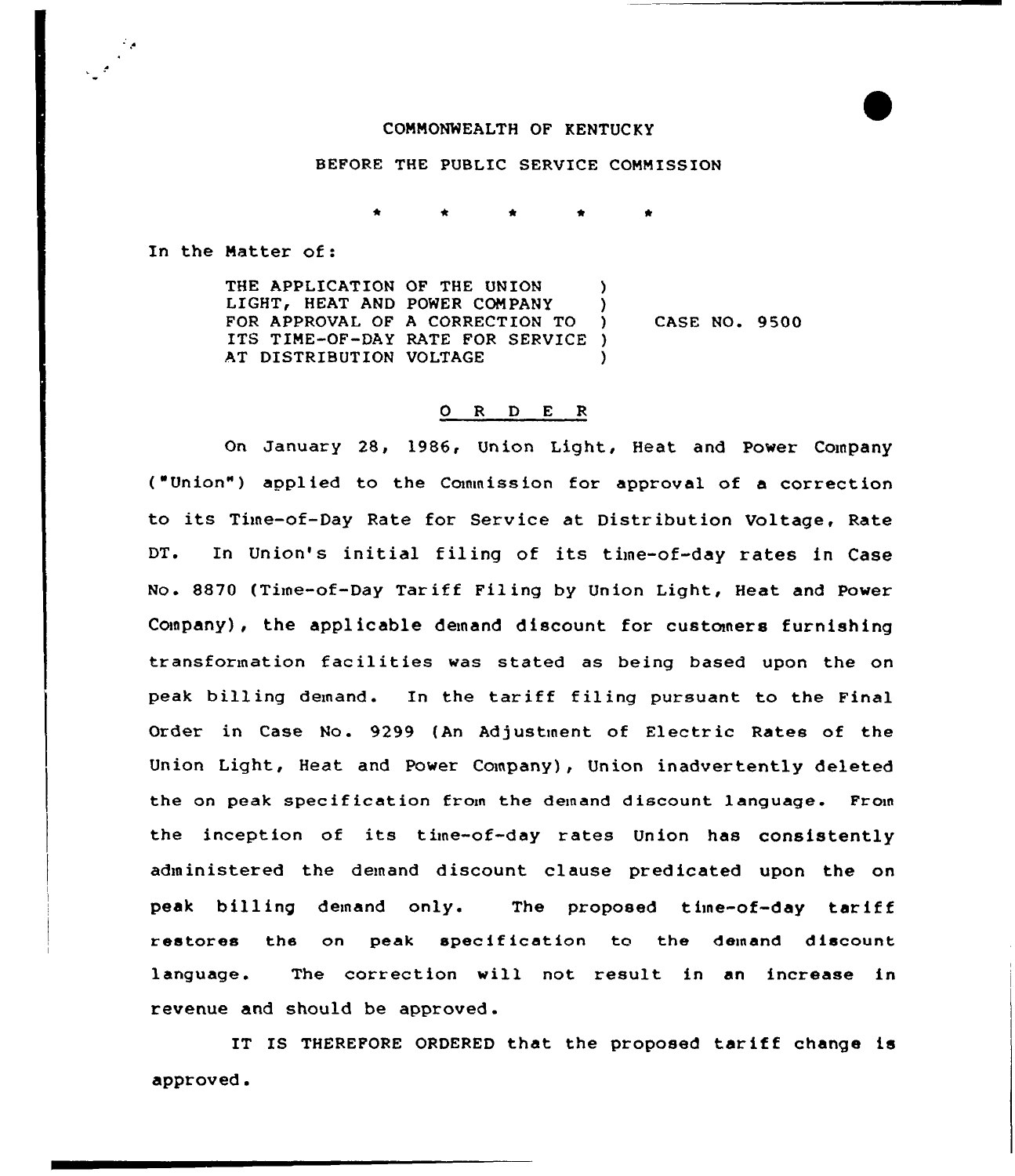## COMMONWEALTH OF KENTUCKY

## BEFORE THE PUBLIC SERVICE COMMISSION

In the Matter of:

THE APPLICATION OF THE UNION )<br>LIGHT, HEAT AND POWER COMPANY ) LIGHT, HEAT AND POWER COMPANY )<br>FOR APPROVAL OF A CORRECTION TO ) FOR APPROVAL OF A CORRECTION TO ITS TIME-OF-DAY RATE FOR SERVICE ) AT DISTRIBUTION VOLTAGE CASE NO. 9500

## 0 R <sup>D</sup> E <sup>R</sup>

On January 28, 1986, Union Light, Heat and Power Company ("Union") applied to the Commission for approval of a correction to its Time-of-Day Rate for Service at Distribution Voltage, Rate DT. In Union's initial filing of its time-of-day rates in Case No. 8870 (Time-of-Day Tariff Filing by Union Light, Heat and Power Company), the applicable demand discount for customers furnishing transformation facilities was stated as being based upon the on peak billing demand. In the tariff filing pursuant to the Final Order in Case No. 9299 (An Adjustinent of Electric Rates of the Union Light, Heat and Power Company), Union inadvertently deleted the on peak specif ication from the demand discount language. From the inception of its time-of-day rates Union has consistently administered the demand discount clause predicated upon the on peak billing demand only. The proposed time-of-day tariff restores the on peak specification to the demand discount language. The correction will not result in an increase in revenue and should be approved .

IT IS THEREFORE ORDERED that the proposed tariff change is approved.